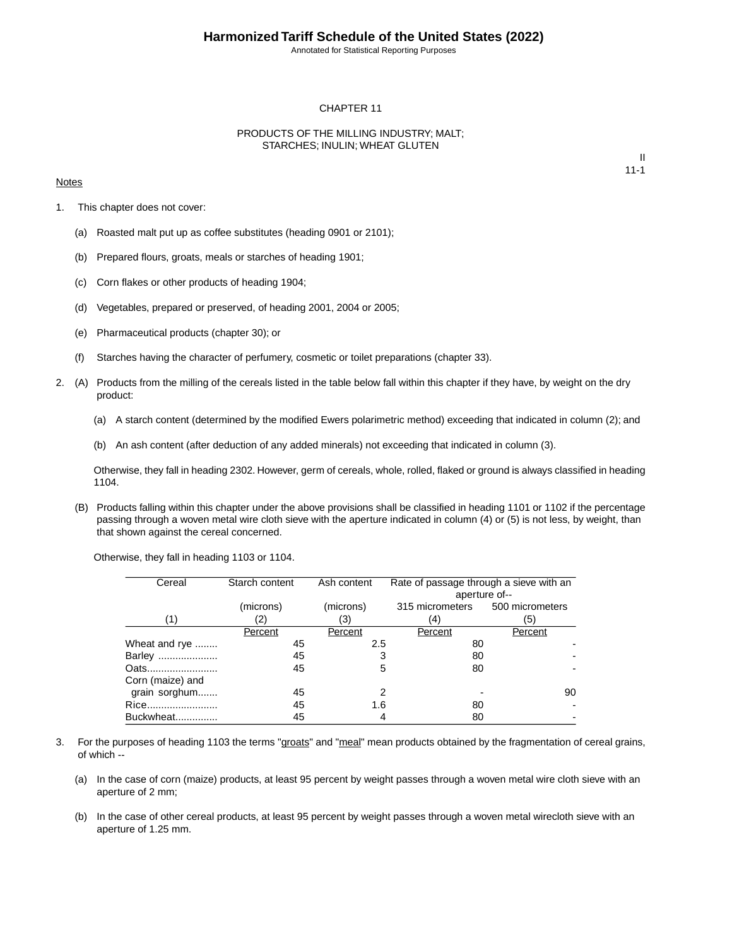Annotated for Statistical Reporting Purposes

#### CHAPTER 11

#### PRODUCTS OF THE MILLING INDUSTRY; MALT; STARCHES; INULIN; WHEAT GLUTEN

#### **Notes**

II 11-1

- 1. This chapter does not cover:
	- (a) Roasted malt put up as coffee substitutes (heading 0901 or 2101);
	- (b) Prepared flours, groats, meals or starches of heading 1901;
	- (c) Corn flakes or other products of heading 1904;
	- (d) Vegetables, prepared or preserved, of heading 2001, 2004 or 2005;
	- (e) Pharmaceutical products (chapter 30); or
	- (f) Starches having the character of perfumery, cosmetic or toilet preparations (chapter 33).
- 2. (A) Products from the milling of the cereals listed in the table below fall within this chapter if they have, by weight on the dry product:
	- (a) A starch content (determined by the modified Ewers polarimetric method) exceeding that indicated in column (2); and
	- (b) An ash content (after deduction of any added minerals) not exceeding that indicated in column (3).

Otherwise, they fall in heading 2302. However, germ of cereals, whole, rolled, flaked or ground is always classified in heading 1104.

(B) Products falling within this chapter under the above provisions shall be classified in heading 1101 or 1102 if the percentage passing through a woven metal wire cloth sieve with the aperture indicated in column (4) or (5) is not less, by weight, than that shown against the cereal concerned.

Otherwise, they fall in heading 1103 or 1104.

| Cereal           | Starch content | Ash content | Rate of passage through a sieve with an | aperture of-- |
|------------------|----------------|-------------|-----------------------------------------|---------------|
|                  | (microns)      | (microns)   | 315 micrometers 500 micrometers         |               |
| (1)              | (2)            | (3)         | (4)                                     | (5)           |
|                  | Percent        | Percent     | Percent                                 | Percent       |
| Wheat and rye    | 45             | 2.5         | 80                                      |               |
| Barley           | 45             | 3           | 80                                      |               |
| Oats             | 45             | 5           | 80                                      |               |
| Corn (maize) and |                |             |                                         |               |
| grain sorghum    | 45             | 2           |                                         | 90            |
| Rice             | 45             | 1.6         | 80                                      |               |
| Buckwheat        | 45             | 4           | 80                                      |               |

- 3. For the purposes of heading 1103 the terms "groats" and "meal" mean products obtained by the fragmentation of cereal grains, of which --
	- (a) In the case of corn (maize) products, at least 95 percent by weight passes through a woven metal wire cloth sieve with an aperture of 2 mm;
	- (b) In the case of other cereal products, at least 95 percent by weight passes through a woven metal wirecloth sieve with an aperture of 1.25 mm.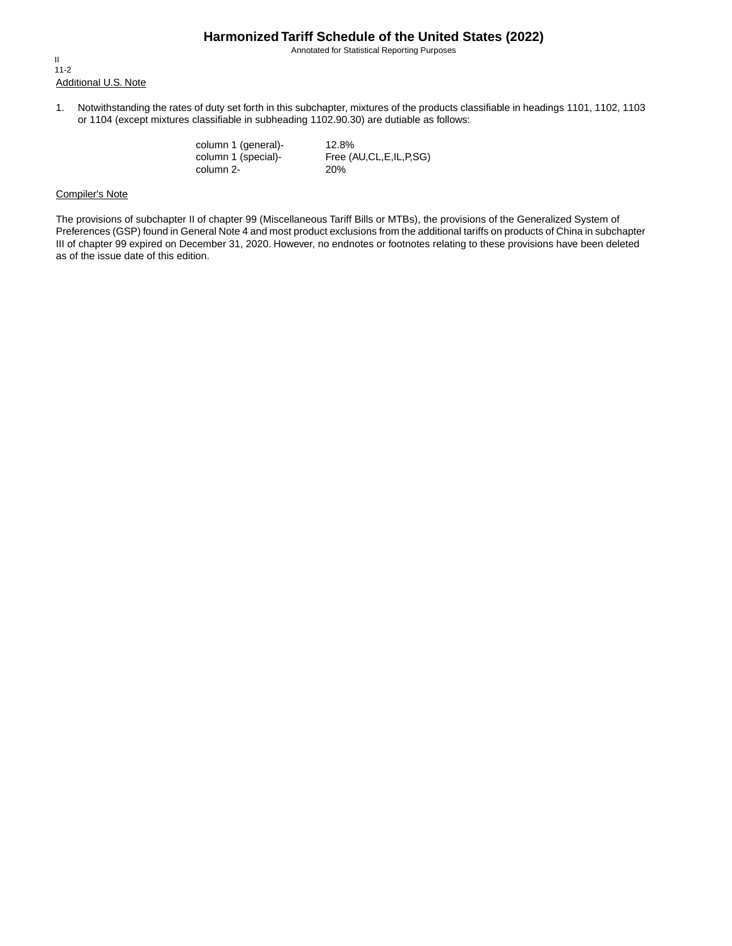Annotated for Statistical Reporting Purposes

Additional U.S. Note II 11-2

1. Notwithstanding the rates of duty set forth in this subchapter, mixtures of the products classifiable in headings 1101, 1102, 1103 or 1104 (except mixtures classifiable in subheading 1102.90.30) are dutiable as follows:

> column 1 (general)- 12.8%<br>column 1 (special)- Free (A column 2- 20%

Free (AU,CL,E,IL,P,SG)

#### Compiler's Note

The provisions of subchapter II of chapter 99 (Miscellaneous Tariff Bills or MTBs), the provisions of the Generalized System of Preferences (GSP) found in General Note 4 and most product exclusions from the additional tariffs on products of China in subchapter III of chapter 99 expired on December 31, 2020. However, no endnotes or footnotes relating to these provisions have been deleted as of the issue date of this edition.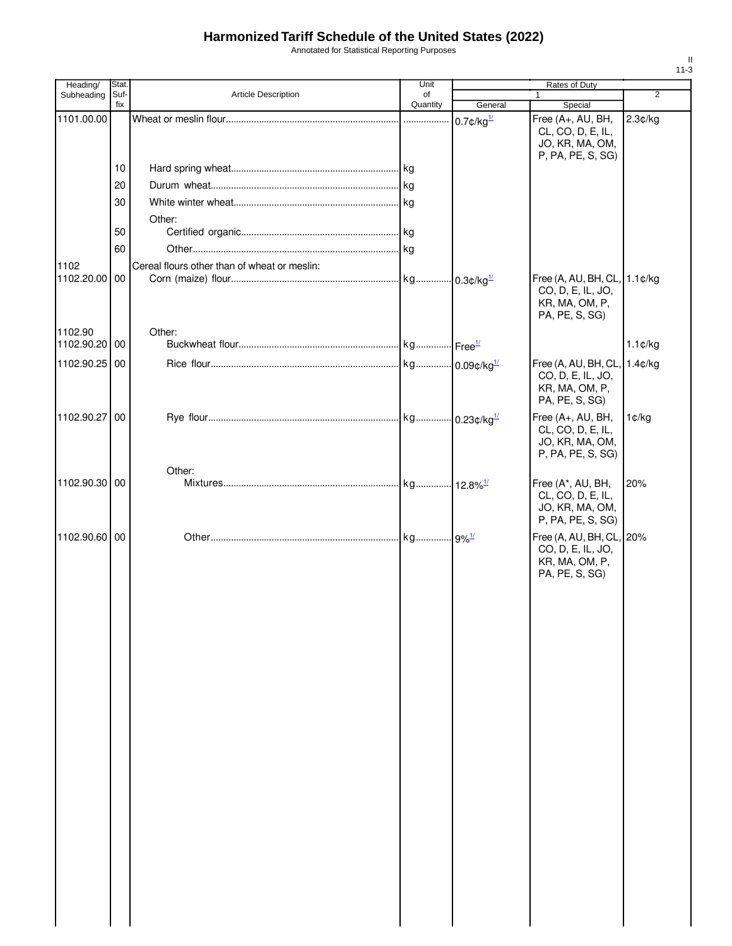Annotated for Statistical Reporting Purposes

| Heading/      | Stat.           |                                              | Unit           |                          | Rates of Duty                                                                         |                |
|---------------|-----------------|----------------------------------------------|----------------|--------------------------|---------------------------------------------------------------------------------------|----------------|
| Subheading    | Suf-            | <b>Article Description</b>                   | of<br>Quantity |                          | $\mathbf{1}$                                                                          | $\overline{2}$ |
|               | fix             |                                              |                | General                  | Special                                                                               |                |
| 1101.00.00    |                 |                                              |                | $0.7$ ¢/kg $\frac{1}{2}$ | Free (A+, AU, BH,<br>CL, CO, D, E, IL,<br>JO, KR, MA, OM,<br>P, PA, PE, S, SG)        | 2.3¢/kg        |
|               | 10              |                                              |                |                          |                                                                                       |                |
|               | 20              |                                              |                |                          |                                                                                       |                |
|               | 30              |                                              |                |                          |                                                                                       |                |
|               |                 | Other:                                       |                |                          |                                                                                       |                |
|               | 50              |                                              |                |                          |                                                                                       |                |
|               | 60              |                                              |                |                          |                                                                                       |                |
| 1102          |                 | Cereal flours other than of wheat or meslin: |                |                          |                                                                                       |                |
| 1102.20.00 00 |                 |                                              |                |                          | Free (A, AU, BH, CL, 1.1¢/kg<br>CO, D, E, IL, JO,<br>KR, MA, OM, P,<br>PA, PE, S, SG) |                |
| 1102.90       |                 | Other:                                       |                |                          |                                                                                       |                |
| 1102.90.20 00 |                 |                                              |                |                          |                                                                                       | $1.1$ ¢/kg     |
| 1102.90.25 00 |                 |                                              |                |                          | Free (A, AU, BH, CL,<br>CO, D, E, IL, JO,<br>KR, MA, OM, P,<br>PA, PE, S, SG)         | 1.4¢/kg        |
| 1102.90.27    | $\overline{00}$ |                                              |                |                          | Free (A+, AU, BH,<br>CL, CO, D, E, IL,<br>JO, KR, MA, OM,<br>P, PA, PE, S, SG)        | 1¢/kg          |
|               |                 | Other:                                       |                |                          |                                                                                       |                |
| 1102.90.30 00 |                 |                                              |                |                          | Free (A*, AU, BH,<br>CL, CO, D, E, IL,<br>JO, KR, MA, OM,<br>P, PA, PE, S, SG)        | 20%            |
| 1102.90.60 00 |                 |                                              |                |                          | Free (A, AU, BH, CL, 20%<br>CO, D, E, IL, JO,<br>KR, MA, OM, P,<br>PA, PE, S, SG)     |                |
|               |                 |                                              |                |                          |                                                                                       |                |
|               |                 |                                              |                |                          |                                                                                       |                |
|               |                 |                                              |                |                          |                                                                                       |                |
|               |                 |                                              |                |                          |                                                                                       |                |
|               |                 |                                              |                |                          |                                                                                       |                |
|               |                 |                                              |                |                          |                                                                                       |                |
|               |                 |                                              |                |                          |                                                                                       |                |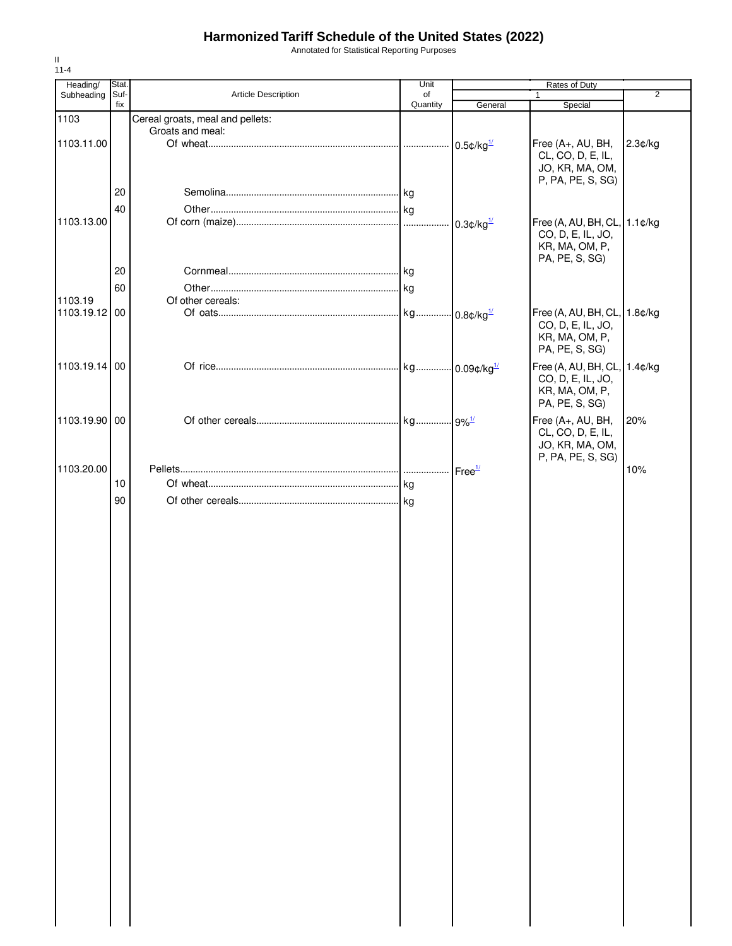Annotated for Statistical Reporting Purposes

| Heading/      | Stat. |                                  | Unit     | Rates of Duty            |                              |                |
|---------------|-------|----------------------------------|----------|--------------------------|------------------------------|----------------|
| Subheading    | Suf-  | Article Description              | of       |                          | 1                            | $\overline{2}$ |
|               | fix   |                                  | Quantity | General                  | Special                      |                |
| 1103          |       | Cereal groats, meal and pellets: |          |                          |                              |                |
|               |       | Groats and meal:                 |          |                          |                              |                |
| 1103.11.00    |       |                                  |          | $0.5$ ¢/kg $\frac{1}{2}$ | Free (A+, AU, BH,            | 2.3¢/kg        |
|               |       |                                  |          |                          | CL, CO, D, E, IL,            |                |
|               |       |                                  |          |                          | JO, KR, MA, OM,              |                |
|               |       |                                  |          |                          | P, PA, PE, S, SG)            |                |
|               | 20    |                                  |          |                          |                              |                |
|               | 40    |                                  |          |                          |                              |                |
| 1103.13.00    |       |                                  |          | $0.3$ ¢/kg $\frac{1}{2}$ | Free (A, AU, BH, CL, 1.1¢/kg |                |
|               |       |                                  |          |                          | CO, D, E, IL, JO,            |                |
|               |       |                                  |          |                          | KR, MA, OM, P,               |                |
|               |       |                                  |          |                          | PA, PE, S, SG)               |                |
|               | 20    |                                  |          |                          |                              |                |
|               | 60    |                                  |          |                          |                              |                |
| 1103.19       |       | Of other cereals:                |          |                          |                              |                |
| 1103.19.12 00 |       |                                  |          |                          | Free (A, AU, BH, CL, 1.8¢/kg |                |
|               |       |                                  |          |                          | CO, D, E, IL, JO,            |                |
|               |       |                                  |          |                          | KR, MA, OM, P,               |                |
|               |       |                                  |          |                          | PA, PE, S, SG)               |                |
|               |       |                                  |          |                          |                              |                |
| 1103.19.14 00 |       |                                  |          |                          | Free (A, AU, BH, CL, 1.4¢/kg |                |
|               |       |                                  |          |                          | CO, D, E, IL, JO,            |                |
|               |       |                                  |          |                          | KR, MA, OM, P,               |                |
|               |       |                                  |          |                          | PA, PE, S, SG)               |                |
| 1103.19.90 00 |       |                                  |          |                          | Free (A+, AU, BH,            | 20%            |
|               |       |                                  |          |                          | CL, CO, D, E, IL,            |                |
|               |       |                                  |          |                          | JO, KR, MA, OM,              |                |
|               |       |                                  |          |                          | P, PA, PE, S, SG)            |                |
| 1103.20.00    |       |                                  |          | Free <sup>1/</sup>       |                              | 10%            |
|               | 10    |                                  | kg       |                          |                              |                |
|               | 90    |                                  |          |                          |                              |                |
|               |       |                                  |          |                          |                              |                |
|               |       |                                  |          |                          |                              |                |
|               |       |                                  |          |                          |                              |                |
|               |       |                                  |          |                          |                              |                |
|               |       |                                  |          |                          |                              |                |
|               |       |                                  |          |                          |                              |                |
|               |       |                                  |          |                          |                              |                |
|               |       |                                  |          |                          |                              |                |
|               |       |                                  |          |                          |                              |                |
|               |       |                                  |          |                          |                              |                |
|               |       |                                  |          |                          |                              |                |
|               |       |                                  |          |                          |                              |                |
|               |       |                                  |          |                          |                              |                |
|               |       |                                  |          |                          |                              |                |
|               |       |                                  |          |                          |                              |                |
|               |       |                                  |          |                          |                              |                |
|               |       |                                  |          |                          |                              |                |
|               |       |                                  |          |                          |                              |                |
|               |       |                                  |          |                          |                              |                |
|               |       |                                  |          |                          |                              |                |
|               |       |                                  |          |                          |                              |                |
|               |       |                                  |          |                          |                              |                |
|               |       |                                  |          |                          |                              |                |
|               |       |                                  |          |                          |                              |                |
|               |       |                                  |          |                          |                              |                |
|               |       |                                  |          |                          |                              |                |
|               |       |                                  |          |                          |                              |                |
|               |       |                                  |          |                          |                              |                |
|               |       |                                  |          |                          |                              |                |
|               |       |                                  |          |                          |                              |                |
|               |       |                                  |          |                          |                              |                |
|               |       |                                  |          |                          |                              |                |
|               |       |                                  |          |                          |                              |                |
|               |       |                                  |          |                          |                              |                |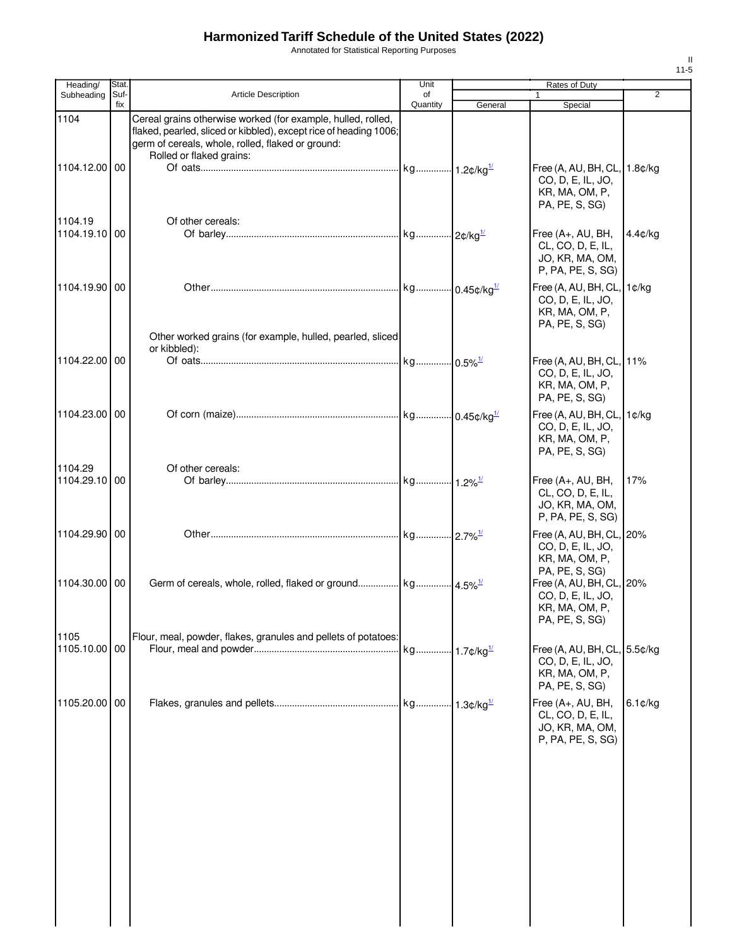Annotated for Statistical Reporting Purposes

| Heading/                 | <b>Stat</b> |                                                                                                                                                                                                                    | Unit                     |         | Rates of Duty                                                                         |                |
|--------------------------|-------------|--------------------------------------------------------------------------------------------------------------------------------------------------------------------------------------------------------------------|--------------------------|---------|---------------------------------------------------------------------------------------|----------------|
| Subheading               | Suf-<br>fix | <b>Article Description</b>                                                                                                                                                                                         | of<br>Quantity           | General | 1<br>Special                                                                          | $\overline{2}$ |
| 1104<br>1104.12.00 00    |             | Cereal grains otherwise worked (for example, hulled, rolled,<br>flaked, pearled, sliced or kibbled), except rice of heading 1006;<br>germ of cereals, whole, rolled, flaked or ground:<br>Rolled or flaked grains: |                          |         | Free (A, AU, BH, CL, 1.8¢/kg                                                          |                |
| 1104.19                  |             | Of other cereals:                                                                                                                                                                                                  |                          |         | CO, D, E, IL, JO,<br>KR, MA, OM, P,<br>PA, PE, S, SG)                                 |                |
| 1104.19.10 00            |             |                                                                                                                                                                                                                    |                          |         | Free (A+, AU, BH,<br>CL, CO, D, E, IL,<br>JO, KR, MA, OM,<br>P, PA, PE, S, SG)        | 4.4¢/kg        |
| 1104.19.90 00            |             | Other worked grains (for example, hulled, pearled, sliced                                                                                                                                                          |                          |         | Free (A, AU, BH, CL,<br>CO, D, E, IL, JO,<br>KR, MA, OM, P,<br>PA, PE, S, SG)         | 1¢/kg          |
| 1104.22.00 00            |             | or kibbled):                                                                                                                                                                                                       |                          |         | Free (A, AU, BH, CL, 11%<br>CO, D, E, IL, JO,<br>KR, MA, OM, P,<br>PA, PE, S, SG)     |                |
| 1104.23.00 00<br>1104.29 |             | Of other cereals:                                                                                                                                                                                                  |                          |         | Free (A, AU, BH, CL,<br>CO, D, E, IL, JO,<br>KR, MA, OM, P,<br>PA, PE, S, SG)         | 1¢/kg          |
| 1104.29.10 00            |             |                                                                                                                                                                                                                    |                          |         | Free (A+, AU, BH,<br>CL, CO, D, E, IL,<br>JO, KR, MA, OM,<br>P, PA, PE, S, SG)        | 17%            |
| 1104.29.90 00            |             |                                                                                                                                                                                                                    |                          |         | Free (A, AU, BH, CL, 20%<br>CO, D, E, IL, JO,<br>KR, MA, OM, P,<br>PA, PE, S, SG)     |                |
| 1104.30.00 00            |             | Germ of cereals, whole, rolled, flaked or ground kg 4.5% <sup>1/</sup>                                                                                                                                             |                          |         | Free (A, AU, BH, CL, 20%<br>CO, D, E, IL, JO,<br>KR, MA, OM, P<br>PA, PE, S, SG)      |                |
| 1105<br>1105.10.00 00    |             | Flour, meal, powder, flakes, granules and pellets of potatoes:                                                                                                                                                     | kg 1.7¢/kg <sup>1/</sup> |         | Free (A, AU, BH, CL, 5.5¢/kg<br>CO, D, E, IL, JO,<br>KR, MA, OM, P,<br>PA, PE, S, SG) |                |
| 1105.20.00               | 00          |                                                                                                                                                                                                                    |                          |         | Free (A+, AU, BH,<br>CL, CO, D, E, IL,<br>JO, KR, MA, OM,<br>P, PA, PE, S, SG)        | $6.1$ ¢/kg     |
|                          |             |                                                                                                                                                                                                                    |                          |         |                                                                                       |                |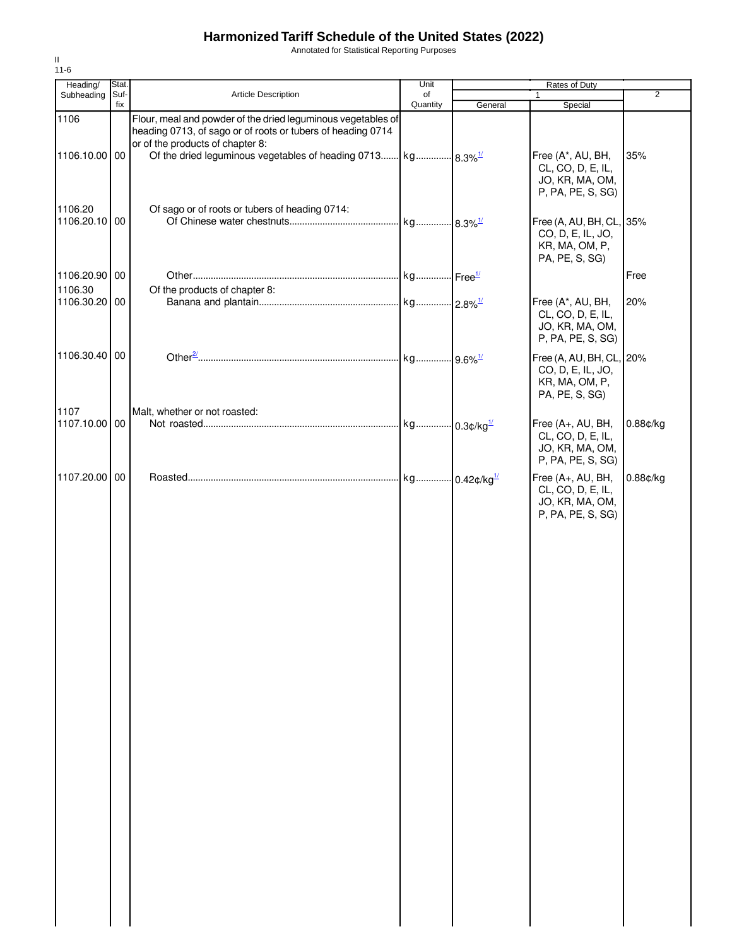Annotated for Statistical Reporting Purposes

| Heading/                 | Stat. |                                                                                                                                                                 | Unit     |         | Rates of Duty                                                                     |                |
|--------------------------|-------|-----------------------------------------------------------------------------------------------------------------------------------------------------------------|----------|---------|-----------------------------------------------------------------------------------|----------------|
| Subheading               | Suf-  | Article Description                                                                                                                                             | of       |         |                                                                                   | $\overline{2}$ |
| 1106                     | fix   | Flour, meal and powder of the dried leguminous vegetables of<br>heading 0713, of sago or of roots or tubers of heading 0714<br>or of the products of chapter 8: | Quantity | General | Special                                                                           |                |
| 1106.10.00 00            |       | Of the dried leguminous vegetables of heading 0713 kg 8.3% <sup>1/</sup>                                                                                        |          |         | Free (A*, AU, BH,<br>CL, CO, D, E, IL,<br>JO, KR, MA, OM,<br>P, PA, PE, S, SG)    | 35%            |
| 1106.20<br>1106.20.10 00 |       | Of sago or of roots or tubers of heading 0714:                                                                                                                  |          |         | Free (A, AU, BH, CL, 35%<br>CO, D, E, IL, JO,<br>KR, MA, OM, P,<br>PA, PE, S, SG) |                |
| 1106.20.90 00            |       |                                                                                                                                                                 |          |         |                                                                                   | Free           |
| 1106.30<br>1106.30.20 00 |       | Of the products of chapter 8:                                                                                                                                   |          |         | Free (A*, AU, BH,<br>CL, CO, D, E, IL,<br>JO, KR, MA, OM,<br>P, PA, PE, S, SG)    | 20%            |
| 1106.30.40 00            |       |                                                                                                                                                                 |          |         | Free (A, AU, BH, CL, 20%<br>CO, D, E, IL, JO,<br>KR, MA, OM, P,<br>PA, PE, S, SG) |                |
| 1107<br>1107.10.00 00    |       | Malt, whether or not roasted:                                                                                                                                   |          |         | Free (A+, AU, BH,<br>CL, CO, D, E, IL,<br>JO, KR, MA, OM,<br>P, PA, PE, S, SG)    | $0.88$ ¢/kg    |
| 1107.20.00 00            |       |                                                                                                                                                                 |          |         | Free (A+, AU, BH,<br>CL, CO, D, E, IL,<br>JO, KR, MA, OM,<br>P, PA, PE, S, SG)    | 0.88¢/kg       |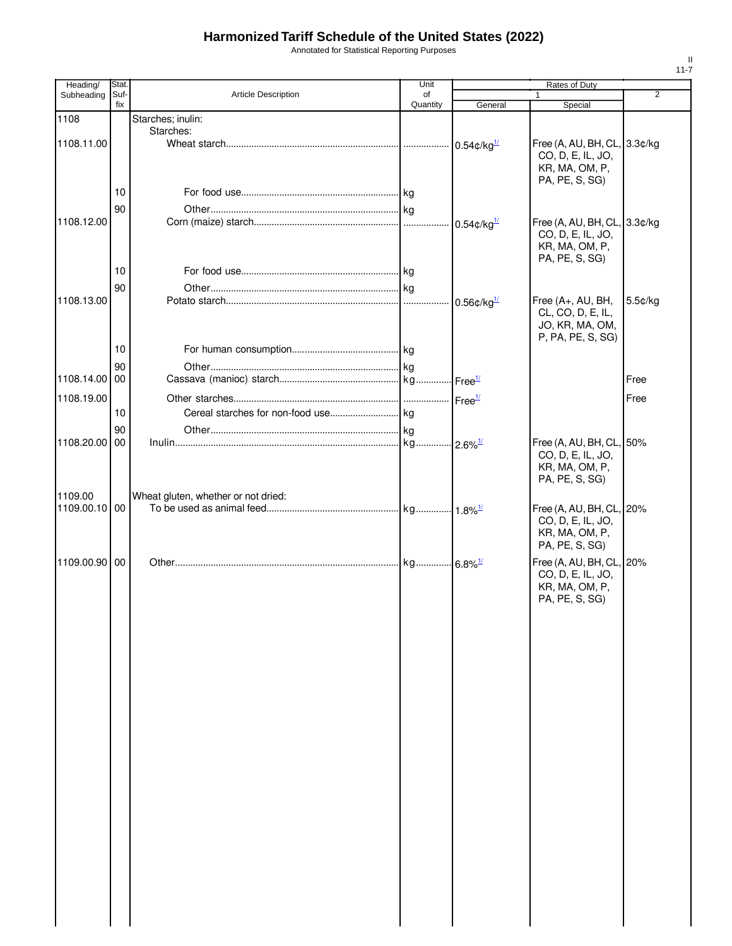Annotated for Statistical Reporting Purposes

| Heading/      | Stat.       |                                     | Unit           |                            | Rates of Duty                                                                         |                |
|---------------|-------------|-------------------------------------|----------------|----------------------------|---------------------------------------------------------------------------------------|----------------|
| Subheading    | Suf-<br>fix | <b>Article Description</b>          | of<br>Quantity | General                    | 1<br>Special                                                                          | $\overline{2}$ |
| 1108          |             | Starches; inulin:                   |                |                            |                                                                                       |                |
|               |             | Starches:                           |                |                            |                                                                                       |                |
| 1108.11.00    |             |                                     |                | $0.54$ ¢/kg $^{1/2}$       | Free (A, AU, BH, CL, 3.3¢/kg<br>CO, D, E, IL, JO,<br>KR, MA, OM, P,<br>PA, PE, S, SG) |                |
|               | 10          |                                     |                |                            |                                                                                       |                |
|               | 90          |                                     |                |                            |                                                                                       |                |
| 1108.12.00    |             |                                     |                | $0.54$ ¢/kg $^{1/2}$       | Free (A, AU, BH, CL, 3.3¢/kg<br>CO, D, E, IL, JO,<br>KR, MA, OM, P,<br>PA, PE, S, SG) |                |
|               | 10          |                                     |                |                            |                                                                                       |                |
|               | 90          |                                     |                |                            |                                                                                       |                |
| 1108.13.00    |             |                                     | 1.1.1.1        | $0.56$ ¢/kg $\frac{1}{2}$  | Free (A+, AU, BH,<br>CL, CO, D, E, IL,<br>JO, KR, MA, OM,<br>P, PA, PE, S, SG)        | 5.5¢/kg        |
|               | 10          |                                     |                |                            |                                                                                       |                |
|               | 90          |                                     |                |                            |                                                                                       |                |
| 1108.14.00 00 |             |                                     |                | $\cdot$ Free $\frac{1}{2}$ |                                                                                       | Free           |
| 1108.19.00    |             |                                     |                | Free <sup>1/</sup>         |                                                                                       | Free           |
|               | 10          |                                     |                |                            |                                                                                       |                |
|               | 90          |                                     |                |                            |                                                                                       |                |
| 1108.20.00 00 |             |                                     |                | $-2.6\%$ <sup>1/</sup>     | Free (A, AU, BH, CL, 50%<br>CO, D, E, IL, JO,<br>KR, MA, OM, P,<br>PA, PE, S, SG)     |                |
| 1109.00       |             | Wheat gluten, whether or not dried: |                |                            |                                                                                       |                |
| 1109.00.10 00 |             |                                     |                |                            | Free (A, AU, BH, CL, 20%<br>CO, D, E, IL, JO,<br>KR, MA, OM, P,<br>PA, PE, S, SG)     |                |
| 1109.00.90 00 |             |                                     | kg             | $-6.8\%$ <sup>1/</sup>     | Free (A, AU, BH, CL, 20%<br>CO, D, E, IL, JO,<br>KR, MA, OM, P,<br>PA, PE, S, SG)     |                |